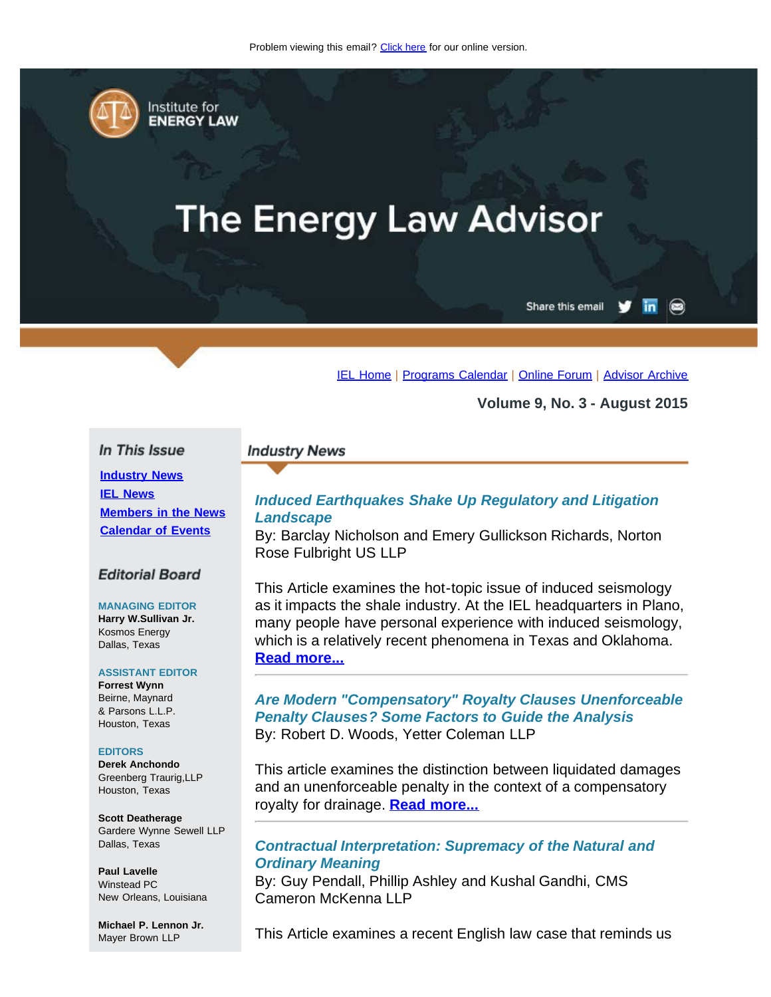<span id="page-0-0"></span>

Institute for **ENERGY LAW** 

# **The Energy Law Advisor**

Share this email

 $\circledcirc$ 

[IEL Home](http://www.cailaw.org/institute-for-energy-law/index.html?utm_source=Informz&utm_medium=Email&utm_campaign=Event+Details) | [Programs Calendar](http://www.cailaw.org/institute-for-energy-law/programs-calendar.html?utm_source=Informz&utm_medium=Email&utm_campaign=Event+Details) | [Online Forum](https://www.linkedin.com/groups?gid=2330688&trk=myg_ugrp_ovr) | [Advisor Archive](http://www.cailaw.org/institute-for-energy-law/publications/energy-law-advisor.html?utm_source=Informz&utm_medium=Email&utm_campaign=Event+Details)

**Volume 9, No. 3 - August 2015**

### In This Issue

**[Industry News](#page-0-0) [IEL News](#page-0-0) [Members in the News](#page-0-0) [Calendar of Events](#page-0-0)**

### **Editorial Board**

### **MANAGING EDITOR Harry W.Sullivan Jr.**

Kosmos Energy Dallas, Texas

### **ASSISTANT EDITOR**

**Forrest Wynn** Beirne, Maynard & Parsons L.L.P. Houston, Texas

### **EDITORS**

**Derek Anchondo** Greenberg Traurig,LLP Houston, Texas

**Scott Deatherage** Gardere Wynne Sewell LLP Dallas, Texas

**Paul Lavelle** Winstead PC New Orleans, Louisiana

**Michael P. Lennon Jr.** Mayer Brown LLP

### **Industry News**

# *Induced Earthquakes Shake Up Regulatory and Litigation Landscape*

By: Barclay Nicholson and Emery Gullickson Richards, Norton Rose Fulbright US LLP

This Article examines the hot-topic issue of induced seismology as it impacts the shale industry. At the IEL headquarters in Plano, many people have personal experience with induced seismology, which is a relatively recent phenomena in Texas and Oklahoma. **[Read more...](http://www.cailaw.org/media/files/IEL/Publications/2015/earthquakes-shakeup-vol9no3.pdf)**

# *Are Modern "Compensatory" Royalty Clauses Unenforceable Penalty Clauses? Some Factors to Guide the Analysis* By: Robert D. Woods, Yetter Coleman LLP

This article examines the distinction between liquidated damages and an unenforceable penalty in the context of a compensatory royalty for drainage. **[Read more...](http://www.cailaw.org/media/files/IEL/Publications/2015/compensatory-royalty-vol9no3.pdf)**

# *Contractual Interpretation: Supremacy of the Natural and Ordinary Meaning*

By: Guy Pendall, Phillip Ashley and Kushal Gandhi, CMS Cameron McKenna LLP

This Article examines a recent English law case that reminds us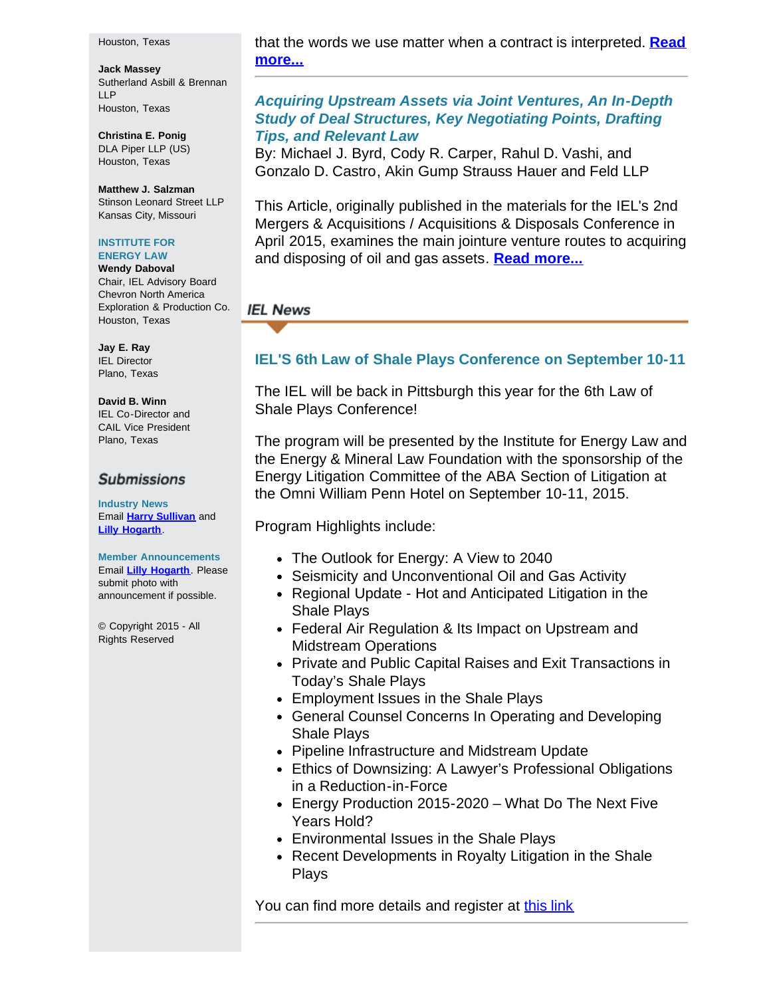#### Houston, Texas

**Jack Massey** Sutherland Asbill & Brennan LLP Houston, Texas

**Christina E. Ponig** DLA Piper LLP (US) Houston, Texas

**Matthew J. Salzman** Stinson Leonard Street LLP Kansas City, Missouri

### **INSTITUTE FOR ENERGY LAW**

**Wendy Daboval**

Chair, IEL Advisory Board Chevron North America Exploration & Production Co. Houston, Texas

**Jay E. Ray** IEL Director Plano, Texas

# **David B. Winn**

IEL Co-Director and CAIL Vice President Plano, Texas

### **Submissions**

**Industry News** Email **[Harry Sullivan](mailto:sullivanhw@aol.com)** and **[Lilly Hogarth](mailto:lhogarth@cailaw.org)**.

### **Member Announcements** Email **[Lilly Hogarth](mailto:lhogarth@cailaw.org)**. Please submit photo with announcement if possible.

© Copyright 2015 - All Rights Reserved

that the words we use matter when a contract is interpreted. **[Read](http://www.cailaw.org/media/files/IEL/Publications/2015/arnold-v-britton-vol9no3.pdf) [more...](http://www.cailaw.org/media/files/IEL/Publications/2015/arnold-v-britton-vol9no3.pdf)**

# *Acquiring Upstream Assets via Joint Ventures, An In-Depth Study of Deal Structures, Key Negotiating Points, Drafting Tips, and Relevant Law*

By: Michael J. Byrd, Cody R. Carper, Rahul D. Vashi, and Gonzalo D. Castro, Akin Gump Strauss Hauer and Feld LLP

This Article, originally published in the materials for the IEL's 2nd Mergers & Acquisitions / Acquisitions & Disposals Conference in April 2015, examines the main jointure venture routes to acquiring and disposing of oil and gas assets. **[Read more...](http://www.cailaw.org/media/files/IEL/Publications/2015/acquiring-upstream-vol9no3.pdf)**

# **IEL News**

# **IEL'S 6th Law of Shale Plays Conference on September 10-11**

The IEL will be back in Pittsburgh this year for the 6th Law of Shale Plays Conference!

The program will be presented by the Institute for Energy Law and the Energy & Mineral Law Foundation with the sponsorship of the Energy Litigation Committee of the ABA Section of Litigation at the Omni William Penn Hotel on September 10-11, 2015.

Program Highlights include:

- The Outlook for Energy: A View to 2040
- Seismicity and Unconventional Oil and Gas Activity
- Regional Update Hot and Anticipated Litigation in the Shale Plays
- Federal Air Regulation & Its Impact on Upstream and Midstream Operations
- Private and Public Capital Raises and Exit Transactions in Today's Shale Plays
- Employment Issues in the Shale Plays
- General Counsel Concerns In Operating and Developing Shale Plays
- Pipeline Infrastructure and Midstream Update
- Ethics of Downsizing: A Lawyer's Professional Obligations in a Reduction-in-Force
- Energy Production 2015-2020 What Do The Next Five Years Hold?
- Environmental Issues in the Shale Plays
- Recent Developments in Royalty Litigation in the Shale Plays

You can find more details and register at [this link](http://www.cailaw.org/institute-for-energy-law/events/2015/law-of-shale-plays.html?utm_source=Informz&utm_medium=Email&utm_campaign=Event+Details)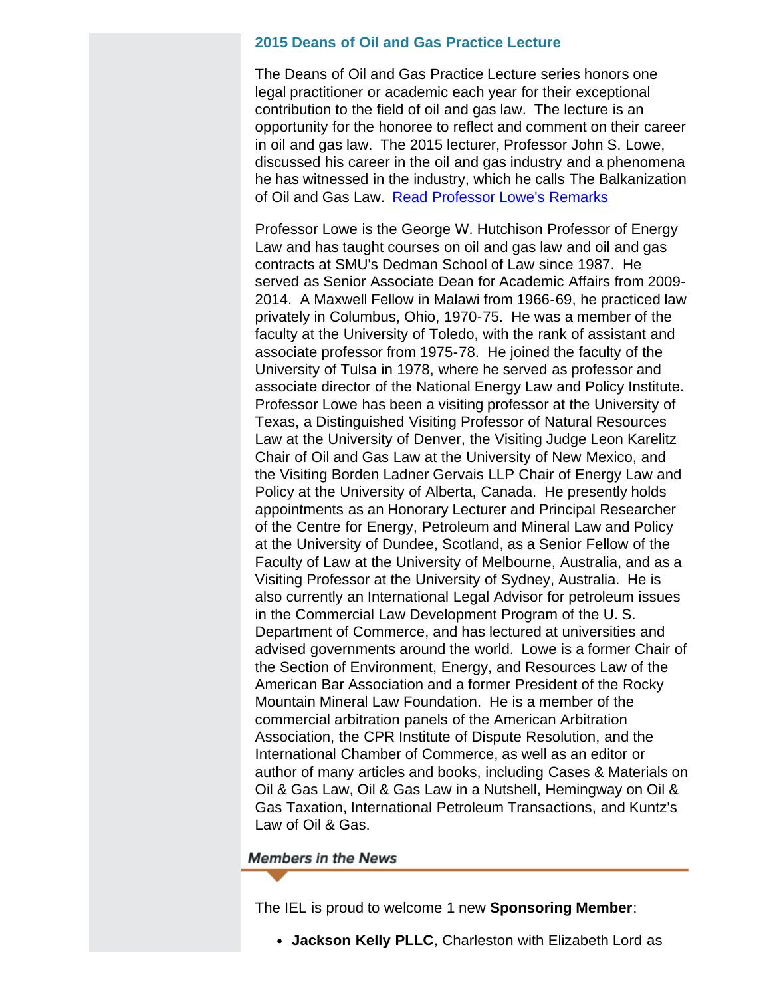# **2015 Deans of Oil and Gas Practice Lecture**

The Deans of Oil and Gas Practice Lecture series honors one legal practitioner or academic each year for their exceptional contribution to the field of oil and gas law. The lecture is an opportunity for the honoree to reflect and comment on their career in oil and gas law. The 2015 lecturer, Professor John S. Lowe, discussed his career in the oil and gas industry and a phenomena he has witnessed in the industry, which he calls The Balkanization of Oil and Gas Law. [Read Professor Lowe's Remarks](http://www.cailaw.org/media/files/IEL/Remarks/john-lowe-deans-2015.pdf)

Professor Lowe is the George W. Hutchison Professor of Energy Law and has taught courses on oil and gas law and oil and gas contracts at SMU's Dedman School of Law since 1987. He served as Senior Associate Dean for Academic Affairs from 2009- 2014. A Maxwell Fellow in Malawi from 1966-69, he practiced law privately in Columbus, Ohio, 1970-75. He was a member of the faculty at the University of Toledo, with the rank of assistant and associate professor from 1975-78. He joined the faculty of the University of Tulsa in 1978, where he served as professor and associate director of the National Energy Law and Policy Institute. Professor Lowe has been a visiting professor at the University of Texas, a Distinguished Visiting Professor of Natural Resources Law at the University of Denver, the Visiting Judge Leon Karelitz Chair of Oil and Gas Law at the University of New Mexico, and the Visiting Borden Ladner Gervais LLP Chair of Energy Law and Policy at the University of Alberta, Canada. He presently holds appointments as an Honorary Lecturer and Principal Researcher of the Centre for Energy, Petroleum and Mineral Law and Policy at the University of Dundee, Scotland, as a Senior Fellow of the Faculty of Law at the University of Melbourne, Australia, and as a Visiting Professor at the University of Sydney, Australia. He is also currently an International Legal Advisor for petroleum issues in the Commercial Law Development Program of the U. S. Department of Commerce, and has lectured at universities and advised governments around the world. Lowe is a former Chair of the Section of Environment, Energy, and Resources Law of the American Bar Association and a former President of the Rocky Mountain Mineral Law Foundation. He is a member of the commercial arbitration panels of the American Arbitration Association, the CPR Institute of Dispute Resolution, and the International Chamber of Commerce, as well as an editor or author of many articles and books, including Cases & Materials on Oil & Gas Law, Oil & Gas Law in a Nutshell, Hemingway on Oil & Gas Taxation, International Petroleum Transactions, and Kuntz's Law of Oil & Gas.

## **Members in the News**

The IEL is proud to welcome 1 new **Sponsoring Member**:

**Jackson Kelly PLLC**, Charleston with Elizabeth Lord as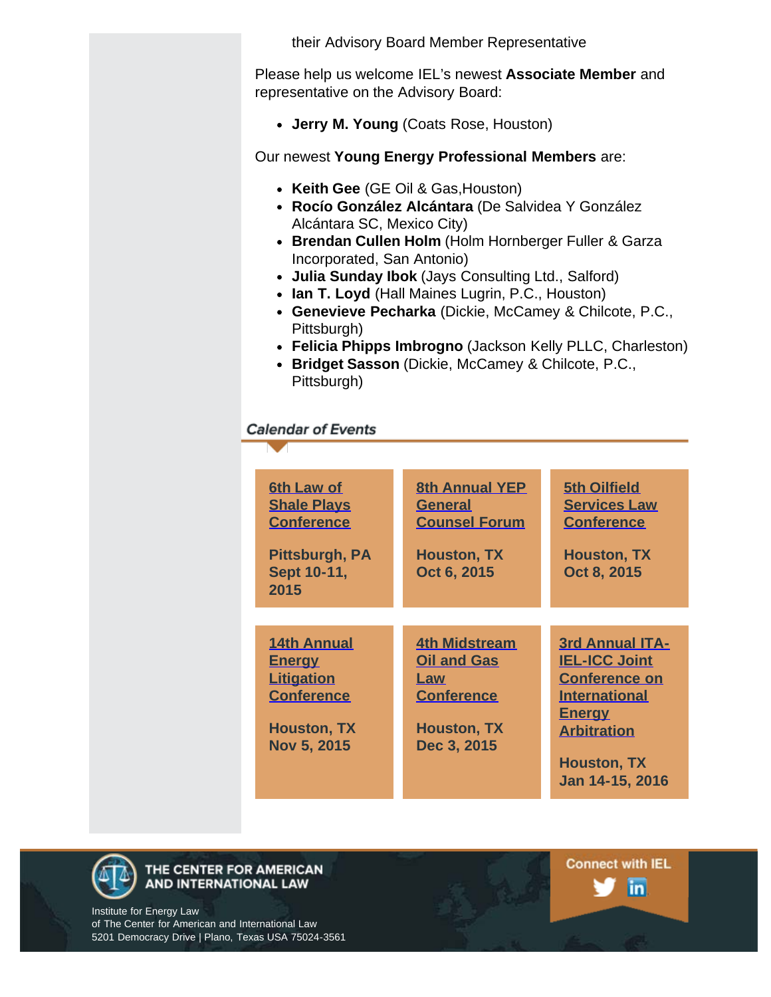their Advisory Board Member Representative

Please help us welcome IEL's newest **Associate Member** and representative on the Advisory Board:

**Jerry M. Young** (Coats Rose, Houston)

Our newest **Young Energy Professional Members** are:

- **Keith Gee** (GE Oil & Gas,Houston)
- **Rocío González Alcántara** (De Salvidea Y González Alcántara SC, Mexico City)
- **Brendan Cullen Holm** (Holm Hornberger Fuller & Garza Incorporated, San Antonio)
- **Julia Sunday Ibok** (Jays Consulting Ltd., Salford)
- **Ian T. Loyd** (Hall Maines Lugrin, P.C., Houston)
- **Genevieve Pecharka** (Dickie, McCamey & Chilcote, P.C., Pittsburgh)
- **Felicia Phipps Imbrogno** (Jackson Kelly PLLC, Charleston)
- **Bridget Sasson** (Dickie, McCamey & Chilcote, P.C., Pittsburgh)

# **Calendar of Events**

| <b>6th Law of</b><br><b>Shale Plays</b><br><b>Conference</b><br>Pittsburgh, PA<br>Sept 10-11,<br>2015              | <b>8th Annual YEP</b><br><b>General</b><br><b>Counsel Forum</b><br><b>Houston, TX</b><br>Oct 6, 2015        | <b>5th Oilfield</b><br><b>Services Law</b><br><b>Conference</b><br><b>Houston, TX</b><br>Oct 8, 2015                                                                           |
|--------------------------------------------------------------------------------------------------------------------|-------------------------------------------------------------------------------------------------------------|--------------------------------------------------------------------------------------------------------------------------------------------------------------------------------|
|                                                                                                                    |                                                                                                             |                                                                                                                                                                                |
| <b>14th Annual</b><br><u>Energy</u><br><b>Litigation</b><br><b>Conference</b><br><b>Houston, TX</b><br>Nov 5, 2015 | <b>4th Midstream</b><br><b>Oil and Gas</b><br>Law<br><b>Conference</b><br><b>Houston, TX</b><br>Dec 3, 2015 | <b>3rd Annual ITA-</b><br><b>IEL-ICC Joint</b><br><b>Conference on</b><br><b>International</b><br><u>Energy</u><br><b>Arbitration</b><br><b>Houston, TX</b><br>Jan 14-15, 2016 |



### THE CENTER FOR AMERICAN AND INTERNATIONAL LAW

Institute for Energy Law of The Center for American and International Law 5201 Democracy Drive | Plano, Texas USA 75024-3561 **Connect with IEL** in.